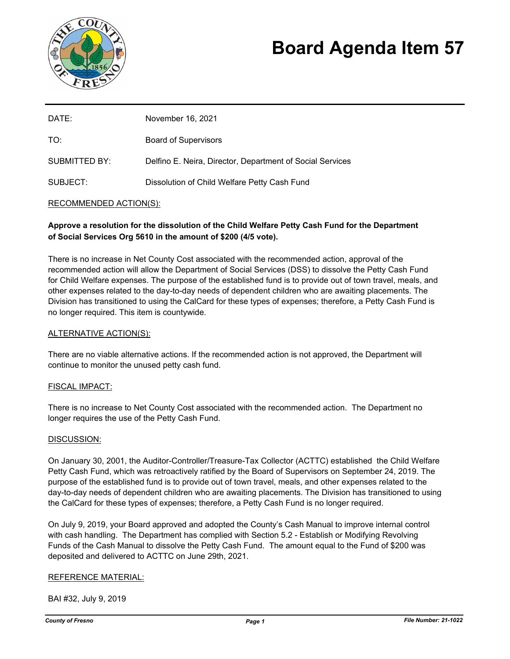

# **Board Agenda Item 57**

| DATE:         | November 16, 2021                                         |
|---------------|-----------------------------------------------------------|
| TO:           | <b>Board of Supervisors</b>                               |
| SUBMITTED BY: | Delfino E. Neira, Director, Department of Social Services |
| SUBJECT:      | Dissolution of Child Welfare Petty Cash Fund              |

## RECOMMENDED ACTION(S):

# **Approve a resolution for the dissolution of the Child Welfare Petty Cash Fund for the Department of Social Services Org 5610 in the amount of \$200 (4/5 vote).**

There is no increase in Net County Cost associated with the recommended action, approval of the recommended action will allow the Department of Social Services (DSS) to dissolve the Petty Cash Fund for Child Welfare expenses. The purpose of the established fund is to provide out of town travel, meals, and other expenses related to the day-to-day needs of dependent children who are awaiting placements. The Division has transitioned to using the CalCard for these types of expenses; therefore, a Petty Cash Fund is no longer required. This item is countywide.

#### ALTERNATIVE ACTION(S):

There are no viable alternative actions. If the recommended action is not approved, the Department will continue to monitor the unused petty cash fund.

#### FISCAL IMPACT:

There is no increase to Net County Cost associated with the recommended action. The Department no longer requires the use of the Petty Cash Fund.

#### DISCUSSION:

On January 30, 2001, the Auditor-Controller/Treasure-Tax Collector (ACTTC) established the Child Welfare Petty Cash Fund, which was retroactively ratified by the Board of Supervisors on September 24, 2019. The purpose of the established fund is to provide out of town travel, meals, and other expenses related to the day-to-day needs of dependent children who are awaiting placements. The Division has transitioned to using the CalCard for these types of expenses; therefore, a Petty Cash Fund is no longer required.

On July 9, 2019, your Board approved and adopted the County's Cash Manual to improve internal control with cash handling. The Department has complied with Section 5.2 - Establish or Modifying Revolving Funds of the Cash Manual to dissolve the Petty Cash Fund. The amount equal to the Fund of \$200 was deposited and delivered to ACTTC on June 29th, 2021.

#### REFERENCE MATERIAL:

BAI #32, July 9, 2019